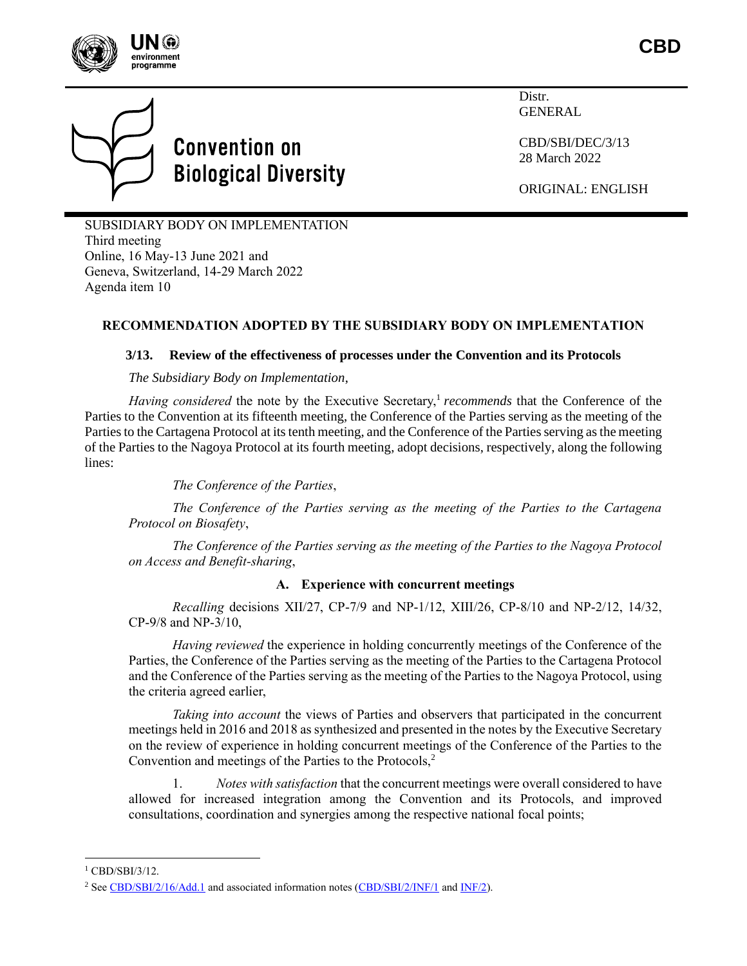



# **Convention on Biological Diversity**

Distr. GENERAL

CBD/SBI/DEC/3/13 28 March 2022

ORIGINAL: ENGLISH

SUBSIDIARY BODY ON IMPLEMENTATION Third meeting Online, 16 May-13 June 2021 and Geneva, Switzerland, 14-29 March 2022 Agenda item 10

## **RECOMMENDATION ADOPTED BY THE SUBSIDIARY BODY ON IMPLEMENTATION**

#### **3/13. Review of the effectiveness of processes under the Convention and its Protocols**

*The Subsidiary Body on Implementation*,

*Having considered* the note by the Executive Secretary,<sup>1</sup> *recommends* that the Conference of the Parties to the Convention at its fifteenth meeting, the Conference of the Parties serving as the meeting of the Parties to the Cartagena Protocol at its tenth meeting, and the Conference of the Parties serving as the meeting of the Parties to the Nagoya Protocol at its fourth meeting, adopt decisions, respectively, along the following lines:

*The Conference of the Parties*,

*The Conference of the Parties serving as the meeting of the Parties to the Cartagena Protocol on Biosafety*,

*The Conference of the Parties serving as the meeting of the Parties to the Nagoya Protocol on Access and Benefit-sharing*,

#### **A. Experience with concurrent meetings**

*Recalling* decisions XII/27, CP-7/9 and NP-1/12, XIII/26, CP-8/10 and NP-2/12, 14/32, CP-9/8 and NP-3/10,

*Having reviewed* the experience in holding concurrently meetings of the Conference of the Parties, the Conference of the Parties serving as the meeting of the Parties to the Cartagena Protocol and the Conference of the Parties serving as the meeting of the Parties to the Nagoya Protocol, using the criteria agreed earlier,

*Taking into account* the views of Parties and observers that participated in the concurrent meetings held in 2016 and 2018 as synthesized and presented in the notes by the Executive Secretary on the review of experience in holding concurrent meetings of the Conference of the Parties to the Convention and meetings of the Parties to the Protocols,<sup>2</sup>

1. *Notes with satisfaction* that the concurrent meetings were overall considered to have allowed for increased integration among the Convention and its Protocols, and improved consultations, coordination and synergies among the respective national focal points;

<sup>&</sup>lt;sup>1</sup> CBD/SBI/3/12.

<sup>&</sup>lt;sup>2</sup> See [CBD/SBI/2/16/Add.1](https://www.cbd.int/doc/c/2a4e/4a1b/9aa23008d4af76c6e2cf4de8/sbi-02-16-add1-en.pdf) and associated information notes [\(CBD/SBI/2/INF/1](https://www.cbd.int/doc/c/e896/e6a9/58e656fef046cec35bbbe6d7/sbi-02-inf-01-en.pdf) an[d INF/2\)](https://www.cbd.int/doc/c/28b9/9ae8/d4ee604de9dea40eca158d65/sbi-02-inf-02-en.pdf).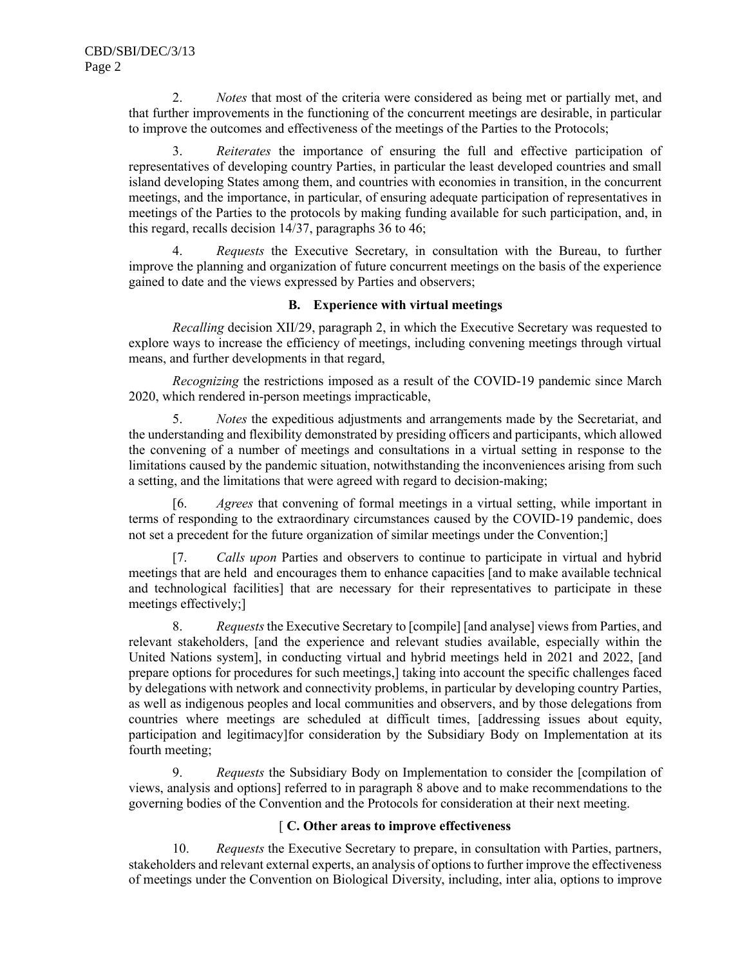2. *Notes* that most of the criteria were considered as being met or partially met, and that further improvements in the functioning of the concurrent meetings are desirable, in particular to improve the outcomes and effectiveness of the meetings of the Parties to the Protocols;

3. *Reiterates* the importance of ensuring the full and effective participation of representatives of developing country Parties, in particular the least developed countries and small island developing States among them, and countries with economies in transition, in the concurrent meetings, and the importance, in particular, of ensuring adequate participation of representatives in meetings of the Parties to the protocols by making funding available for such participation, and, in this regard, recalls decision 14/37, paragraphs 36 to 46;

4. *Requests* the Executive Secretary, in consultation with the Bureau, to further improve the planning and organization of future concurrent meetings on the basis of the experience gained to date and the views expressed by Parties and observers;

#### **B. Experience with virtual meetings**

*Recalling* decision XII/29, paragraph 2, in which the Executive Secretary was requested to explore ways to increase the efficiency of meetings, including convening meetings through virtual means, and further developments in that regard,

*Recognizing* the restrictions imposed as a result of the COVID-19 pandemic since March 2020, which rendered in-person meetings impracticable,

5. *Notes* the expeditious adjustments and arrangements made by the Secretariat, and the understanding and flexibility demonstrated by presiding officers and participants, which allowed the convening of a number of meetings and consultations in a virtual setting in response to the limitations caused by the pandemic situation, notwithstanding the inconveniences arising from such a setting, and the limitations that were agreed with regard to decision-making;

[6. *Agrees* that convening of formal meetings in a virtual setting, while important in terms of responding to the extraordinary circumstances caused by the COVID-19 pandemic, does not set a precedent for the future organization of similar meetings under the Convention;]

[7. *Calls upon* Parties and observers to continue to participate in virtual and hybrid meetings that are held and encourages them to enhance capacities [and to make available technical and technological facilities] that are necessary for their representatives to participate in these meetings effectively;]

8. *Requests*the Executive Secretary to [compile] [and analyse] views from Parties, and relevant stakeholders, [and the experience and relevant studies available, especially within the United Nations system], in conducting virtual and hybrid meetings held in 2021 and 2022, [and prepare options for procedures for such meetings,] taking into account the specific challenges faced by delegations with network and connectivity problems, in particular by developing country Parties, as well as indigenous peoples and local communities and observers, and by those delegations from countries where meetings are scheduled at difficult times, [addressing issues about equity, participation and legitimacy]for consideration by the Subsidiary Body on Implementation at its fourth meeting;

9. *Requests* the Subsidiary Body on Implementation to consider the [compilation of views, analysis and options] referred to in paragraph 8 above and to make recommendations to the governing bodies of the Convention and the Protocols for consideration at their next meeting.

### [ **C. Other areas to improve effectiveness**

10. *Requests* the Executive Secretary to prepare, in consultation with Parties, partners, stakeholders and relevant external experts, an analysis of options to further improve the effectiveness of meetings under the Convention on Biological Diversity, including, inter alia, options to improve